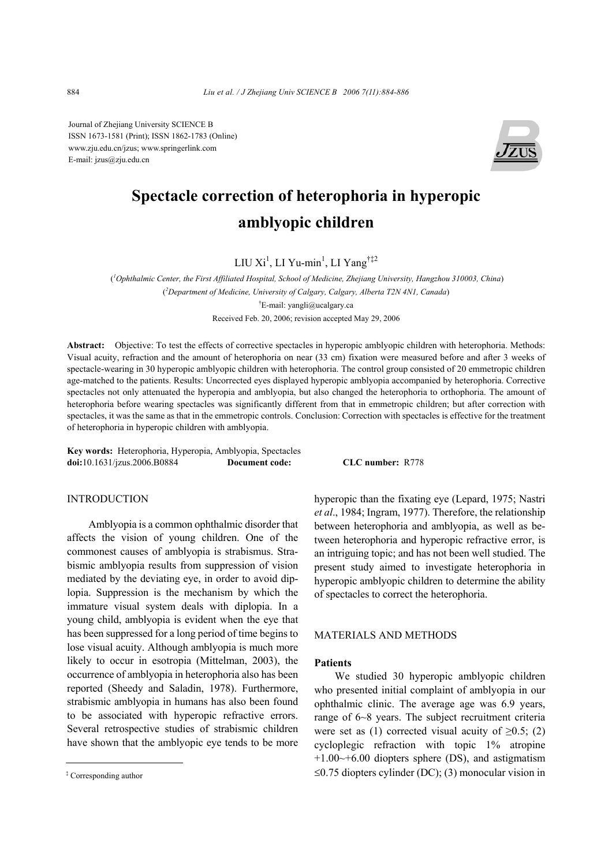Journal of Zhejiang University SCIENCE B ISSN 1673-1581 (Print); ISSN 1862-1783 (Online) www.zju.edu.cn/jzus; www.springerlink.com E-mail: jzus@zju.edu.cn



# **Spectacle correction of heterophoria in hyperopic amblyopic children**

LIU Xi<sup>1</sup>, LI Yu-min<sup>1</sup>, LI Yang<sup>†‡2</sup>

( *1 Ophthalmic Center, the First Affiliated Hospital, School of Medicine, Zhejiang University, Hangzhou 310003, China*) ( *2 Department of Medicine, University of Calgary, Calgary, Alberta T2N 4N1, Canada*) † E-mail: yangli@ucalgary.ca Received Feb. 20, 2006; revision accepted May 29, 2006

**Abstract:** Objective: To test the effects of corrective spectacles in hyperopic amblyopic children with heterophoria. Methods: Visual acuity, refraction and the amount of heterophoria on near (33 cm) fixation were measured before and after 3 weeks of spectacle-wearing in 30 hyperopic amblyopic children with heterophoria. The control group consisted of 20 emmetropic children age-matched to the patients. Results: Uncorrected eyes displayed hyperopic amblyopia accompanied by heterophoria. Corrective spectacles not only attenuated the hyperopia and amblyopia, but also changed the heterophoria to orthophoria. The amount of heterophoria before wearing spectacles was significantly different from that in emmetropic children; but after correction with spectacles, it was the same as that in the emmetropic controls. Conclusion: Correction with spectacles is effective for the treatment of heterophoria in hyperopic children with amblyopia.

**Key words:** Heterophoria, Hyperopia, Amblyopia, Spectacles **doi:**10.1631/jzus.2006.B0884 **Document code: CLC number:** R778

## INTRODUCTION

Amblyopia is a common ophthalmic disorder that affects the vision of young children. One of the commonest causes of amblyopia is strabismus. Strabismic amblyopia results from suppression of vision mediated by the deviating eye, in order to avoid diplopia. Suppression is the mechanism by which the immature visual system deals with diplopia. In a young child, amblyopia is evident when the eye that has been suppressed for a long period of time begins to lose visual acuity. Although amblyopia is much more likely to occur in esotropia (Mittelman, 2003), the occurrence of amblyopia in heterophoria also has been reported (Sheedy and Saladin, 1978). Furthermore, strabismic amblyopia in humans has also been found to be associated with hyperopic refractive errors. Several retrospective studies of strabismic children have shown that the amblyopic eye tends to be more

hyperopic than the fixating eye (Lepard, 1975; Nastri *et al*., 1984; Ingram, 1977). Therefore, the relationship between heterophoria and amblyopia, as well as between heterophoria and hyperopic refractive error, is an intriguing topic; and has not been well studied. The present study aimed to investigate heterophoria in hyperopic amblyopic children to determine the ability of spectacles to correct the heterophoria.

## MATERIALS AND METHODS

## **Patients**

We studied 30 hyperopic amblyopic children who presented initial complaint of amblyopia in our ophthalmic clinic. The average age was 6.9 years, range of 6~8 years. The subject recruitment criteria were set as (1) corrected visual acuity of  $\geq 0.5$ ; (2) cycloplegic refraction with topic 1% atropine  $+1.00\rightarrow+6.00$  diopters sphere (DS), and astigmatism ≤0.75 diopters cylinder (DC); (3) monocular vision in

Corresponding author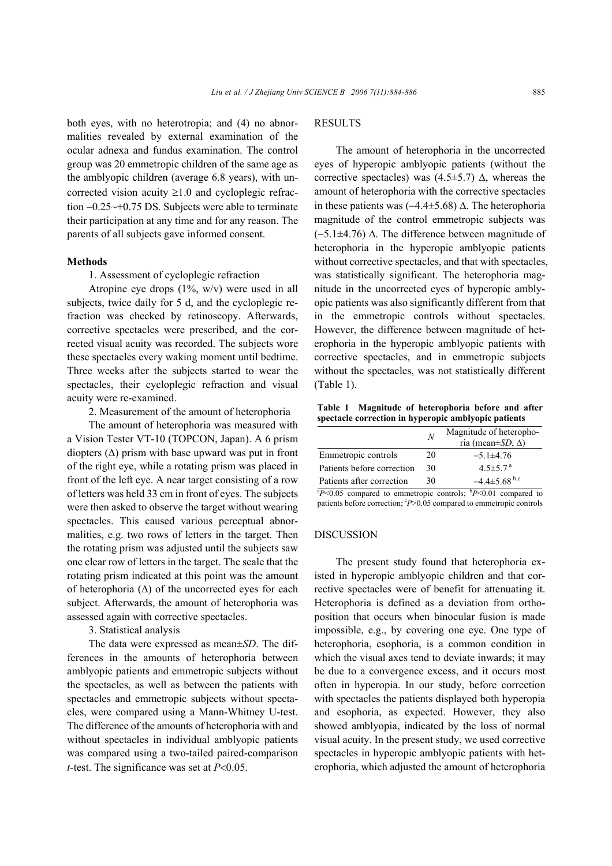both eyes, with no heterotropia; and (4) no abnormalities revealed by external examination of the ocular adnexa and fundus examination. The control group was 20 emmetropic children of the same age as the amblyopic children (average 6.8 years), with uncorrected vision acuity  $\geq 1.0$  and cycloplegic refraction −0.25~+0.75 DS. Subjects were able to terminate their participation at any time and for any reason. The parents of all subjects gave informed consent.

#### **Methods**

1. Assessment of cycloplegic refraction

Atropine eye drops (1%, w/v) were used in all subjects, twice daily for 5 d, and the cycloplegic refraction was checked by retinoscopy. Afterwards, corrective spectacles were prescribed, and the corrected visual acuity was recorded. The subjects wore these spectacles every waking moment until bedtime. Three weeks after the subjects started to wear the spectacles, their cycloplegic refraction and visual acuity were re-examined.

2. Measurement of the amount of heterophoria

The amount of heterophoria was measured with a Vision Tester VT-10 (TOPCON, Japan). A 6 prism diopters  $(\Delta)$  prism with base upward was put in front of the right eye, while a rotating prism was placed in front of the left eye. A near target consisting of a row of letters was held 33 cm in front of eyes. The subjects were then asked to observe the target without wearing spectacles. This caused various perceptual abnormalities, e.g. two rows of letters in the target. Then the rotating prism was adjusted until the subjects saw one clear row of letters in the target. The scale that the rotating prism indicated at this point was the amount of heterophoria (∆) of the uncorrected eyes for each subject. Afterwards, the amount of heterophoria was assessed again with corrective spectacles.

3. Statistical analysis

The data were expressed as mean±*SD*. The differences in the amounts of heterophoria between amblyopic patients and emmetropic subjects without the spectacles, as well as between the patients with spectacles and emmetropic subjects without spectacles, were compared using a Mann-Whitney U-test. The difference of the amounts of heterophoria with and without spectacles in individual amblyopic patients was compared using a two-tailed paired-comparison *t*-test. The significance was set at *P*<0.05.

# **RESULTS**

The amount of heterophoria in the uncorrected eyes of hyperopic amblyopic patients (without the corrective spectacles) was  $(4.5\pm5.7)$   $\Delta$ , whereas the amount of heterophoria with the corrective spectacles in these patients was (−4.4±5.68) ∆. The heterophoria magnitude of the control emmetropic subjects was (−5.1±4.76) ∆. The difference between magnitude of heterophoria in the hyperopic amblyopic patients without corrective spectacles, and that with spectacles, was statistically significant. The heterophoria magnitude in the uncorrected eyes of hyperopic amblyopic patients was also significantly different from that in the emmetropic controls without spectacles. However, the difference between magnitude of heterophoria in the hyperopic amblyopic patients with corrective spectacles, and in emmetropic subjects without the spectacles, was not statistically different (Table 1).

**Table 1 Magnitude of heterophoria before and after spectacle correction in hyperopic amblyopic patients** 

|                            | N  | Magnitude of heteropho-<br>ria (mean±SD, $\Delta$ ) |
|----------------------------|----|-----------------------------------------------------|
| Emmetropic controls        | 20 | $-5.1 \pm 4.76$                                     |
| Patients before correction | 30 | $4.5 \pm 5.7$ <sup>a</sup>                          |
| Patients after correction  | 30 | $-4.4\pm5.68$ <sup>b,c</sup>                        |

 $\binom{B}{0.05}$  compared to emmetropic controls;  $\binom{B}{0.01}$  compared to patients before correction; <sup>c</sup>P>0.05 compared to emmetropic controls

## DISCUSSION

The present study found that heterophoria existed in hyperopic amblyopic children and that corrective spectacles were of benefit for attenuating it. Heterophoria is defined as a deviation from orthoposition that occurs when binocular fusion is made impossible, e.g., by covering one eye. One type of heterophoria, esophoria, is a common condition in which the visual axes tend to deviate inwards; it may be due to a convergence excess, and it occurs most often in hyperopia. In our study, before correction with spectacles the patients displayed both hyperopia and esophoria, as expected. However, they also showed amblyopia, indicated by the loss of normal visual acuity. In the present study, we used corrective spectacles in hyperopic amblyopic patients with heterophoria, which adjusted the amount of heterophoria